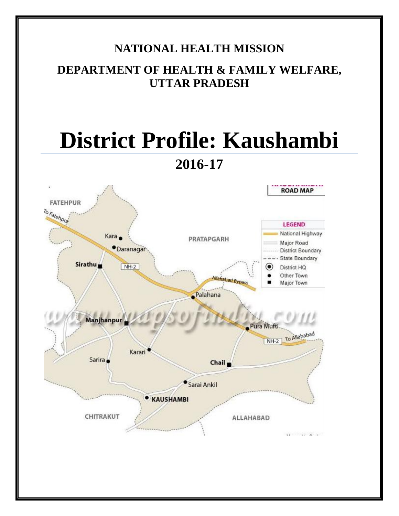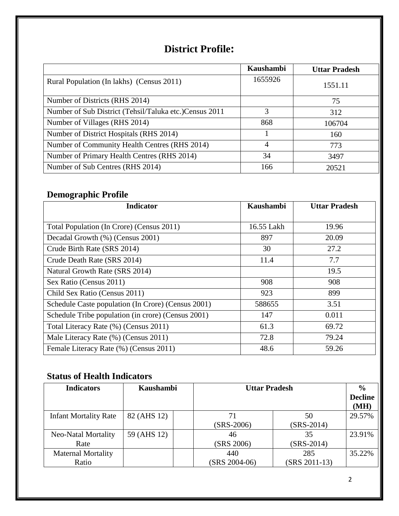# **District Profile:**

|                                                        | <b>Kaushambi</b> | <b>Uttar Pradesh</b> |
|--------------------------------------------------------|------------------|----------------------|
| Rural Population (In lakhs) (Census 2011)              | 1655926          | 1551.11              |
| Number of Districts (RHS 2014)                         |                  | 75                   |
| Number of Sub District (Tehsil/Taluka etc.)Census 2011 | 3                | 312                  |
| Number of Villages (RHS 2014)                          | 868              | 106704               |
| Number of District Hospitals (RHS 2014)                |                  | 160                  |
| Number of Community Health Centres (RHS 2014)          | 4                | 773                  |
| Number of Primary Health Centres (RHS 2014)            | 34               | 3497                 |
| Number of Sub Centres (RHS 2014)                       | 166              | 20521                |

## **Demographic Profile**

| <b>Indicator</b>                                   | <b>Kaushambi</b> | <b>Uttar Pradesh</b> |
|----------------------------------------------------|------------------|----------------------|
|                                                    |                  |                      |
| Total Population (In Crore) (Census 2011)          | 16.55 Lakh       | 19.96                |
| Decadal Growth (%) (Census 2001)                   | 897              | 20.09                |
| Crude Birth Rate (SRS 2014)                        | 30               | 27.2                 |
| Crude Death Rate (SRS 2014)                        | 11.4             | 7.7                  |
| Natural Growth Rate (SRS 2014)                     |                  | 19.5                 |
| Sex Ratio (Census 2011)                            | 908              | 908                  |
| Child Sex Ratio (Census 2011)                      | 923              | 899                  |
| Schedule Caste population (In Crore) (Census 2001) | 588655           | 3.51                 |
| Schedule Tribe population (in crore) (Census 2001) | 147              | 0.011                |
| Total Literacy Rate (%) (Census 2011)              | 61.3             | 69.72                |
| Male Literacy Rate (%) (Census 2011)               | 72.8             | 79.24                |
| Female Literacy Rate (%) (Census 2011)             | 48.6             | 59.26                |

### **Status of Health Indicators**

| <b>Indicators</b>                  | Kaushambi   | <b>Uttar Pradesh</b>   |                      | $\frac{0}{0}$<br><b>Decline</b><br>(MH) |
|------------------------------------|-------------|------------------------|----------------------|-----------------------------------------|
| <b>Infant Mortality Rate</b>       | 82 (AHS 12) | 71<br>$(SRS-2006)$     | 50<br>$(SRS-2014)$   | 29.57%                                  |
| Neo-Natal Mortality<br>Rate        | 59 (AHS 12) | 46<br>(SRS 2006)       | 35<br>$(SRS-2014)$   | 23.91%                                  |
| <b>Maternal Mortality</b><br>Ratio |             | 440<br>$(SRS 2004-06)$ | 285<br>(SRS 2011-13) | 35.22%                                  |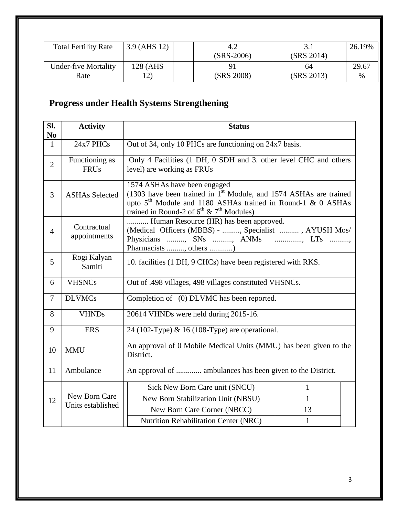| <b>Total Fertility Rate</b> | $3.9$ (AHS 12) |              |            | 26.19% |
|-----------------------------|----------------|--------------|------------|--------|
|                             |                | $(SRS-2006)$ | (SRS 2014) |        |
| <b>Under-five Mortality</b> | 128 (AHS       |              | 64         | 29.67  |
| Rate                        |                | (SRS 2008)   | (SRS 2013) | $\%$   |

# **Progress under Health Systems Strengthening**

| Sl.<br>N <sub>0</sub>    | <b>Activity</b>                            | <b>Status</b>                                                                                                                                                                                                                                     |              |  |  |
|--------------------------|--------------------------------------------|---------------------------------------------------------------------------------------------------------------------------------------------------------------------------------------------------------------------------------------------------|--------------|--|--|
| $\mathbf{1}$             | 24x7 PHCs                                  | Out of 34, only 10 PHCs are functioning on 24x7 basis.                                                                                                                                                                                            |              |  |  |
| $\overline{2}$           | Functioning as<br><b>FRUs</b>              | Only 4 Facilities (1 DH, 0 SDH and 3. other level CHC and others<br>level) are working as FRUs                                                                                                                                                    |              |  |  |
| 3                        | <b>ASHAs Selected</b>                      | 1574 ASHAs have been engaged<br>$(1303)$ have been trained in 1 <sup>st</sup> Module, and 1574 ASHAs are trained<br>upto 5 <sup>th</sup> Module and 1180 ASHAs trained in Round-1 & 0 ASHAs<br>trained in Round-2 of $6^{th}$ & $7^{th}$ Modules) |              |  |  |
| $\overline{4}$           | Contractual<br>appointments                | Human Resource (HR) has been approved.<br>(Medical Officers (MBBS) - , Specialist , AYUSH Mos/<br>Physicians , SNs , ANMs<br>$\ldots$ $\ldots$ $\ldots$ $\ldots$ $\ldots$ $\ldots$<br>Pharmacists , others )                                      |              |  |  |
| 5                        | Rogi Kalyan<br>Samiti                      | 10. facilities (1 DH, 9 CHCs) have been registered with RKS.                                                                                                                                                                                      |              |  |  |
| 6                        | <b>VHSNCs</b>                              | Out of .498 villages, 498 villages constituted VHSNCs.                                                                                                                                                                                            |              |  |  |
| $\overline{\mathcal{L}}$ | <b>DLVMCs</b>                              | Completion of (0) DLVMC has been reported.                                                                                                                                                                                                        |              |  |  |
| 8                        | <b>VHNDs</b>                               | 20614 VHNDs were held during 2015-16.                                                                                                                                                                                                             |              |  |  |
| 9                        | <b>ERS</b>                                 | 24 (102-Type) & 16 (108-Type) are operational.                                                                                                                                                                                                    |              |  |  |
| 10                       | <b>MMU</b>                                 | An approval of 0 Mobile Medical Units (MMU) has been given to the<br>District.                                                                                                                                                                    |              |  |  |
| 11                       | Ambulance                                  | An approval of  ambulances has been given to the District.                                                                                                                                                                                        |              |  |  |
|                          | Sick New Born Care unit (SNCU)<br>1        |                                                                                                                                                                                                                                                   |              |  |  |
| 12                       | New Born Care<br>Units established         | New Born Stabilization Unit (NBSU)                                                                                                                                                                                                                | $\mathbf{1}$ |  |  |
|                          |                                            | New Born Care Corner (NBCC)                                                                                                                                                                                                                       | 13           |  |  |
|                          | Nutrition Rehabilitation Center (NRC)<br>1 |                                                                                                                                                                                                                                                   |              |  |  |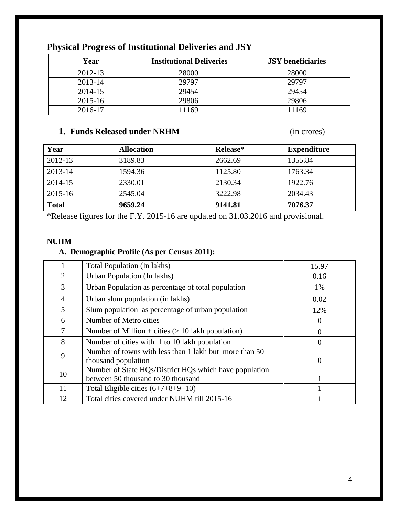| Year    | <b>Institutional Deliveries</b> | <b>JSY</b> beneficiaries |
|---------|---------------------------------|--------------------------|
| 2012-13 | 28000                           | 28000                    |
| 2013-14 | 29797                           | 29797                    |
| 2014-15 | 29454                           | 29454                    |
| 2015-16 | 29806                           | 29806                    |
| 2016-17 | 11169                           | 11169                    |

## **Physical Progress of Institutional Deliveries and JSY**

### **1. Funds Released under NRHM** (in crores)

| Year         | <b>Allocation</b> | Release* | <b>Expenditure</b> |
|--------------|-------------------|----------|--------------------|
| 2012-13      | 3189.83           | 2662.69  | 1355.84            |
| 2013-14      | 1594.36           | 1125.80  | 1763.34            |
| 2014-15      | 2330.01           | 2130.34  | 1922.76            |
| 2015-16      | 2545.04           | 3222.98  | 2034.43            |
| <b>Total</b> | 9659.24           | 9141.81  | 7076.37            |

\*Release figures for the F.Y. 2015-16 are updated on 31.03.2016 and provisional.

#### **NUHM**

#### **A. Demographic Profile (As per Census 2011):**

|                | Total Population (In lakhs)                                                   | 15.97    |
|----------------|-------------------------------------------------------------------------------|----------|
| 2              | Urban Population (In lakhs)                                                   | 0.16     |
| 3              | Urban Population as percentage of total population                            | 1%       |
| $\overline{4}$ | Urban slum population (in lakhs)                                              | 0.02     |
| 5              | Slum population as percentage of urban population                             | 12%      |
| 6              | Number of Metro cities                                                        | 0        |
| 7              | Number of Million + cities $(> 10$ lakh population)                           | $\theta$ |
| 8              | Number of cities with 1 to 10 lakh population                                 | 0        |
| 9              | Number of towns with less than 1 lakh but more than 50<br>thousand population | $\theta$ |
| 10             | Number of State HQs/District HQs which have population                        |          |
|                | between 50 thousand to 30 thousand                                            |          |
| 11             | Total Eligible cities $(6+7+8+9+10)$                                          |          |
| 12             | Total cities covered under NUHM till 2015-16                                  |          |